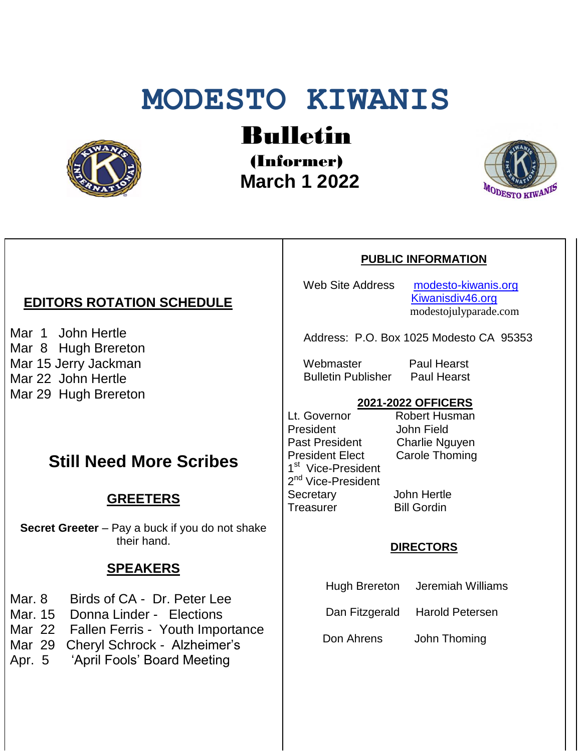# **MODESTO KIWANIS**



Bulletin

(Informer)  **March 1 2022**



## *EDITORS ROTATION SCHEDULE*

Mar 1 John Hertle Mar 8 Hugh Brereton Mar 15 Jerry Jackman Mar 22 John Hertle Mar 29 Hugh Brereton

# **Still Need More Scribes**

### **GREETERS**

**Secret Greeter** – Pay a buck if you do not shake their hand.

## **SPEAKERS**

- Mar. 8 Birds of CA Dr. Peter Lee
- Mar. 15 Donna Linder Elections
- Mar 22 Fallen Ferris Youth Importance
- Mar 29 Cheryl Schrock Alzheimer's
- Apr. 5 'April Fools' Board Meeting

#### **PUBLIC INFORMATION**

Web Site Address [modesto-kiwanis.org](http://modesto-kiwanis.org/) [Kiwanisdiv46.org](http://www.kiwanisdiv46.org/) modestojulyparade.com

Address: P.O. Box 1025 Modesto CA 95353

 Webmaster Paul Hearst Bulletin Publisher Paul Hearst

#### **2021-2022 OFFICERS**

Lt. Governor Robert Husman President John Field<br>Past President Charlie Ng President Elect Carole Thoming 1<sup>st</sup> Vice-President 2<sup>nd</sup> Vice-President Secretary John Hertle Treasurer Bill Gordin

Charlie Nguyen

#### **DIRECTORS**

Hugh Brereton Jeremiah Williams

Dan Fitzgerald Harold Petersen

Don Ahrens John Thoming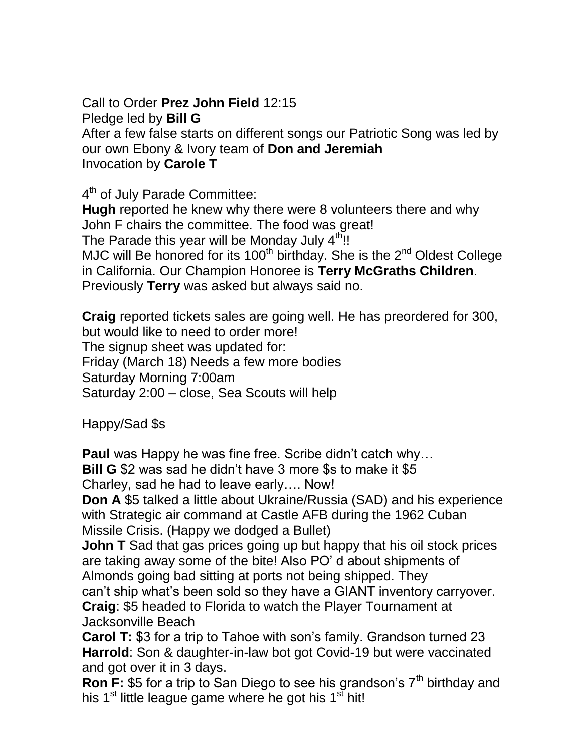Call to Order **Prez John Field** 12:15

Pledge led by **Bill G**

After a few false starts on different songs our Patriotic Song was led by our own Ebony & Ivory team of **Don and Jeremiah** Invocation by **Carole T**

4<sup>th</sup> of July Parade Committee:

**Hugh** reported he knew why there were 8 volunteers there and why John F chairs the committee. The food was great! The Parade this year will be Monday July  $4<sup>th</sup>$ !! MJC will Be honored for its  $100<sup>th</sup>$  birthday. She is the  $2<sup>nd</sup>$  Oldest College in California. Our Champion Honoree is **Terry McGraths Children**. Previously **Terry** was asked but always said no.

**Craig** reported tickets sales are going well. He has preordered for 300, but would like to need to order more! The signup sheet was updated for: Friday (March 18) Needs a few more bodies Saturday Morning 7:00am Saturday 2:00 – close, Sea Scouts will help

Happy/Sad \$s

**Paul** was Happy he was fine free. Scribe didn't catch why…

**Bill G** \$2 was sad he didn't have 3 more \$s to make it \$5

Charley, sad he had to leave early…. Now!

**Don A** \$5 talked a little about Ukraine/Russia (SAD) and his experience with Strategic air command at Castle AFB during the 1962 Cuban Missile Crisis. (Happy we dodged a Bullet)

**John T** Sad that gas prices going up but happy that his oil stock prices are taking away some of the bite! Also PO' d about shipments of Almonds going bad sitting at ports not being shipped. They can't ship what's been sold so they have a GIANT inventory carryover.

**Craig**: \$5 headed to Florida to watch the Player Tournament at Jacksonville Beach

**Carol T:** \$3 for a trip to Tahoe with son's family. Grandson turned 23 **Harrold**: Son & daughter-in-law bot got Covid-19 but were vaccinated and got over it in 3 days.

**Ron F:** \$5 for a trip to San Diego to see his grandson's 7<sup>th</sup> birthday and his  $1<sup>st</sup>$  little league game where he got his  $1<sup>st</sup>$  hit!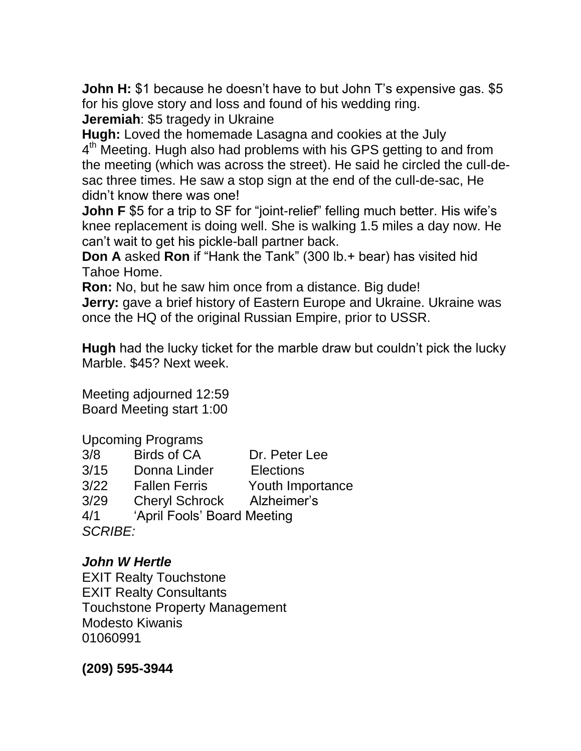**John H:** \$1 because he doesn't have to but John T's expensive gas. \$5 for his glove story and loss and found of his wedding ring. **Jeremiah**: \$5 tragedy in Ukraine

**Hugh:** Loved the homemade Lasagna and cookies at the July 4<sup>th</sup> Meeting. Hugh also had problems with his GPS getting to and from the meeting (which was across the street). He said he circled the cull-desac three times. He saw a stop sign at the end of the cull-de-sac, He didn't know there was one!

**John F** \$5 for a trip to SF for "joint-relief" felling much better. His wife's knee replacement is doing well. She is walking 1.5 miles a day now. He can't wait to get his pickle-ball partner back.

**Don A** asked **Ron** if "Hank the Tank" (300 lb.+ bear) has visited hid Tahoe Home.

**Ron:** No, but he saw him once from a distance. Big dude! **Jerry:** gave a brief history of Eastern Europe and Ukraine. Ukraine was once the HQ of the original Russian Empire, prior to USSR.

**Hugh** had the lucky ticket for the marble draw but couldn't pick the lucky Marble. \$45? Next week.

Meeting adjourned 12:59 Board Meeting start 1:00

Upcoming Programs 3/8 Birds of CA Dr. Peter Lee 3/15 Donna Linder Elections 3/22 Fallen Ferris Youth Importance 3/29 Cheryl Schrock Alzheimer's 4/1 'April Fools' Board Meeting *SCRIBE:*

## *John W Hertle*

EXIT Realty Touchstone EXIT Realty Consultants Touchstone Property Management Modesto Kiwanis 01060991

**(209) 595-3944**